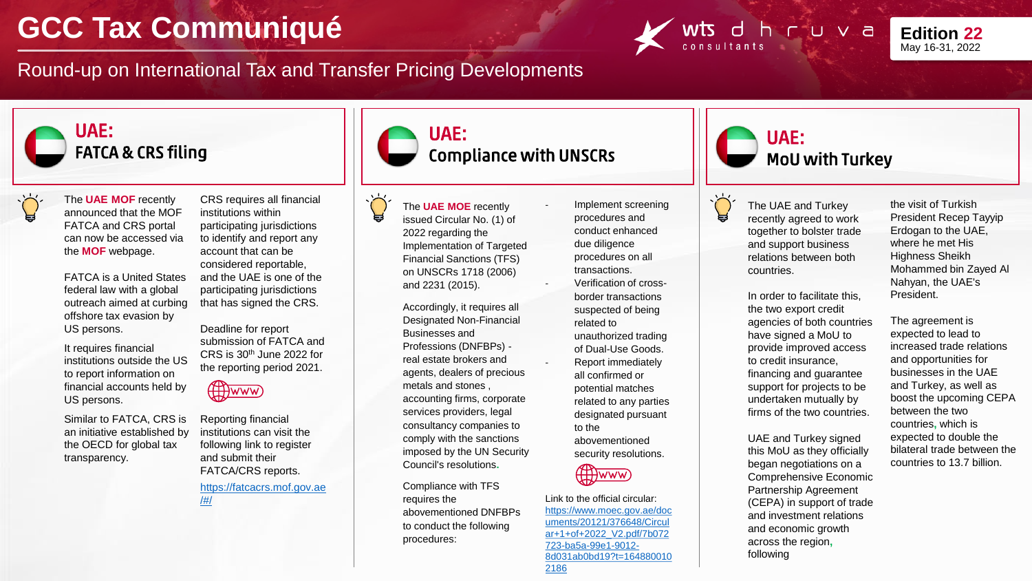## **GCC Tax Communiqué**

Round-up on International Tax and Transfer Pricing Developments





## UAE: FATCA & CRS filing



The **UAE MOF** recently announced that the MOF FATCA and CRS portal can now be accessed via the **MOF** webpage.

FATCA is a United States federal law with a global outreach aimed at curbing offshore tax evasion by US persons.

It requires financial institutions outside the US to report information on financial accounts held by US persons.

Similar to FATCA, CRS is an initiative established by the OECD for global tax transparency.

CRS requires all financial institutions within participating jurisdictions to identify and report any account that can be considered reportable, and the UAE is one of the participating jurisdictions that has signed the CRS.

> Deadline for report submission of FATCA and CRS is 30th June 2022 for the reporting period 2021.



Reporting financial institutions can visit the following link to register and submit their FATCA/CRS reports.

[https://fatcacrs.mof.gov.ae](https://fatcacrs.mof.gov.ae/#/) /#/



Compliance with UNSCRs

The **UAE MOE** recently issued Circular No. (1) of 2022 regarding the Implementation of Targeted Financial Sanctions (TFS) on UNSCRs 1718 (2006) and 2231 (2015).

UAE:

Accordingly, it requires all Designated Non-Financial Businesses and Professions (DNFBPs) real estate brokers and agents, dealers of precious metals and stones , accounting firms, corporate services providers, legal consultancy companies to comply with the sanctions imposed by the UN Security Council's resolutions**.**

Compliance with TFS requires the abovementioned DNFBPs to conduct the following procedures:

Implement screening procedures and conduct enhanced due diligence procedures on all transactions. - Verification of crossborder transactions suspected of being related to unauthorized trading of Dual-Use Goods. Report immediately all confirmed or potential matches related to any parties designated pursuant to the abovementioned security resolutions.



Link to the official circular: https://www.moec.gov.ae/doc uments/20121/376648/Circul ar+1+of+2022\_V2.pdf/7b072 723-ba5a-99e1-9012- [8d031ab0bd19?t=164880010](https://www.moec.gov.ae/documents/20121/376648/Circular+1+of+2022_V2.pdf/7b072723-ba5a-99e1-9012-8d031ab0bd19?t=1648800102186) 2186





The UAE and Turkey recently agreed to work together to bolster trade and support business relations between both countries.

In order to facilitate this, the two export credit agencies of both countries have signed a MoU to provide improved access to credit insurance, financing and guarantee support for projects to be undertaken mutually by firms of the two countries.

UAE and Turkey signed this MoU as they officially began negotiations on a Comprehensive Economic Partnership Agreement (CEPA) in support of trade and investment relations and economic growth across the region**,** following

the visit of Turkish President Recep Tayyip Erdogan to the UAE, where he met His Highness Sheikh Mohammed bin Zayed Al Nahyan, the UAE's President.

The agreement is expected to lead to increased trade relations and opportunities for businesses in the UAE and Turkey, as well as boost the upcoming CEPA between the two countries**,** which is expected to double the bilateral trade between the countries to 13.7 billion.